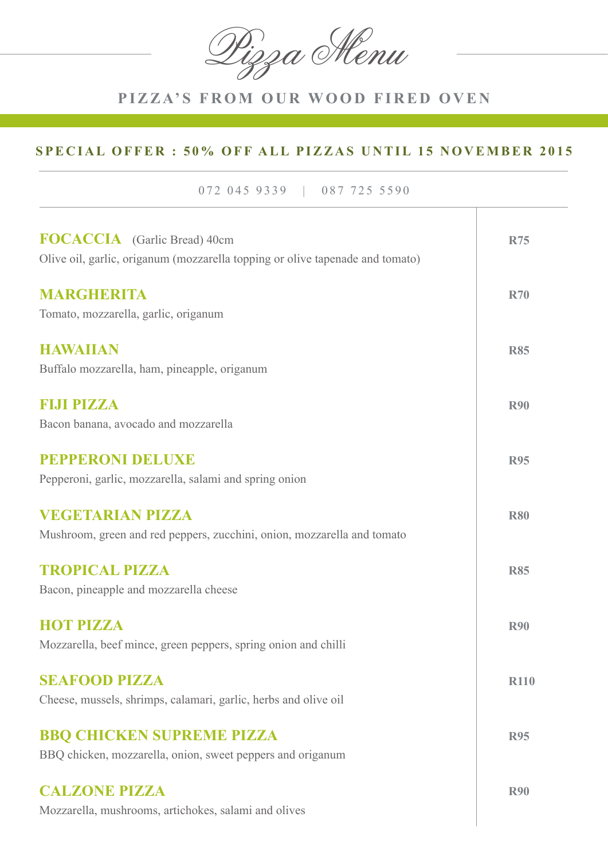Pizza Menu

# **PIZZA'S FROM OUR WOOD FIRED OVEN**

### **SPECIAL OFFER : 50% OFF ALL PIZZAS UNTIL 15 NOVEMBER 2015**

072 045 9339 | 087 725 5590

| <b>FOCACCIA</b> (Garlic Bread) 40cm<br>Olive oil, garlic, origanum (mozzarella topping or olive tapenade and tomato) | <b>R75</b>  |
|----------------------------------------------------------------------------------------------------------------------|-------------|
| MARGHERITA<br>Tomato, mozzarella, garlic, origanum                                                                   | <b>R70</b>  |
| <b>HAWAIIAN</b><br>Buffalo mozzarella, ham, pineapple, origanum                                                      | <b>R85</b>  |
| <b>FEITHERMAN</b><br>Bacon banana, avocado and mozzarella                                                            | <b>R90</b>  |
| <b>PEPPERONI DELUXE</b><br>Pepperoni, garlic, mozzarella, salami and spring onion                                    | <b>R95</b>  |
| <b>VEGETARIAN PIZZA</b><br>Mushroom, green and red peppers, zucchini, onion, mozzarella and tomato                   | <b>R80</b>  |
| <b>TROPICAL PIZZA</b><br>Bacon, pineapple and mozzarella cheese                                                      | <b>R85</b>  |
| <b>HOT PIZZA</b><br>Mozzarella, beef mince, green peppers, spring onion and chilli                                   | <b>R90</b>  |
| <b>SEAFOOD PIZZA</b><br>Cheese, mussels, shrimps, calamari, garlic, herbs and olive oil                              | <b>R110</b> |
| <b>BBQ CHICKEN SUPREME PIZZA</b><br>BBQ chicken, mozzarella, onion, sweet peppers and origanum                       | <b>R95</b>  |
| <b>CALZONE PIZZA</b><br>Mozzarella, mushrooms, artichokes, salami and olives                                         | <b>R90</b>  |